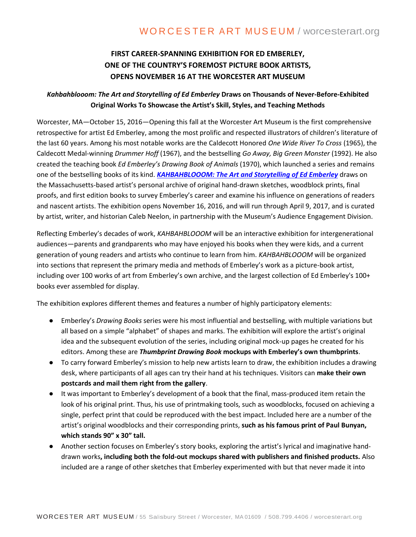### **FIRST CAREER-SPANNING EXHIBITION FOR ED EMBERLEY, ONE OF THE COUNTRY'S FOREMOST PICTURE BOOK ARTISTS, OPENS NOVEMBER 16 AT THE WORCESTER ART MUSEUM**

### *Kahbahblooom: The Art and Storytelling of Ed Emberley* **Draws on Thousands of Never-Before-Exhibited Original Works To Showcase the Artist's Skill, Styles, and Teaching Methods**

Worcester, MA—October 15, 2016—Opening this fall at the Worcester Art Museum is the first comprehensive retrospective for artist Ed Emberley, among the most prolific and respected illustrators of children's literature of the last 60 years. Among his most notable works are the Caldecott Honored *One Wide River To Cross* (1965), the Caldecott Medal-winning *Drummer Hoff* (1967), and the bestselling *Go Away, Big Green Monster* (1992). He also created the teaching book *Ed Emberley's Drawing Book of Animals* (1970), which launched a series and remains one of the bestselling books of its kind. *[KAHBAHBLOOOM: The Art and Storytelling of Ed Emberley](http://www.worcesterart.org/exhibitions/ed-emberley/)* draws on the Massachusetts-based artist's personal archive of original hand-drawn sketches, woodblock prints, final proofs, and first edition books to survey Emberley's career and examine his influence on generations of readers and nascent artists. The exhibition opens November 16, 2016, and will run through April 9, 2017, and is curated by artist, writer, and historian Caleb Neelon, in partnership with the Museum's Audience Engagement Division.

Reflecting Emberley's decades of work, *KAHBAHBLOOOM* will be an interactive exhibition for intergenerational audiences—parents and grandparents who may have enjoyed his books when they were kids, and a current generation of young readers and artists who continue to learn from him. *KAHBAHBLOOOM* will be organized into sections that represent the primary media and methods of Emberley's work as a picture-book artist, including over 100 works of art from Emberley's own archive, and the largest collection of Ed Emberley's 100+ books ever assembled for display.

The exhibition explores different themes and features a number of highly participatory elements:

- Emberley's *Drawing Books* series were his most influential and bestselling, with multiple variations but all based on a simple "alphabet" of shapes and marks. The exhibition will explore the artist's original idea and the subsequent evolution of the series, including original mock-up pages he created for his editors. Among these are *Thumbprint Drawing Book* **mockups with Emberley's own thumbprints**.
- To carry forward Emberley's mission to help new artists learn to draw, the exhibition includes a drawing desk, where participants of all ages can try their hand at his techniques. Visitors can **make their own postcards and mail them right from the gallery**.
- It was important to Emberley's development of a book that the final, mass-produced item retain the look of his original print. Thus, his use of printmaking tools, such as woodblocks, focused on achieving a single, perfect print that could be reproduced with the best impact. Included here are a number of the artist's original woodblocks and their corresponding prints, **such as his famous print of Paul Bunyan, which stands 90" x 30" tall.**
- Another section focuses on Emberley's story books, exploring the artist's lyrical and imaginative handdrawn works**, including both the fold-out mockups shared with publishers and finished products.** Also included are a range of other sketches that Emberley experimented with but that never made it into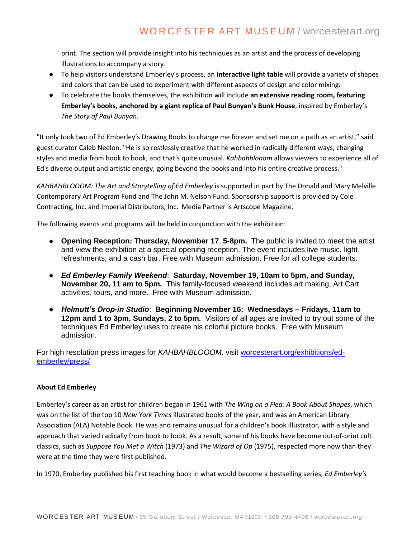print. The section will provide insight into his techniques as an artist and the process of developing illustrations to accompany a story.

- To help visitors understand Emberley's process, an **interactive light table** will provide a variety of shapes and colors that can be used to experiment with different aspects of design and color mixing.
- To celebrate the books themselves, the exhibition will include **an extensive reading room, featuring Emberley's books, anchored by a giant replica of Paul Bunyan's Bunk House**, inspired by Emberley's *The Story of Paul Bunyan.*

"It only took two of Ed Emberley's Drawing Books to change me forever and set me on a path as an artist," said guest curator Caleb Neelon. "He is so restlessly creative that he worked in radically different ways, changing styles and media from book to book, and that's quite unusual. *Kahbahblooom* allows viewers to experience all of Ed's diverse output and artistic energy, going beyond the books and into his entire creative process."

*KAHBAHBLOOOM: The Art and Storytelling of Ed Emberley* is supported in part by The Donald and Mary Melville Contemporary Art Program Fund and The John M. Nelson Fund. Sponsorship support is provided by Cole Contracting, Inc. and Imperial Distributors, Inc. Media Partner is Artscope Magazine.

The following events and programs will be held in conjunction with the exhibition:

- **Opening Reception: Thursday, November 17**, **5-8pm.** The public is invited to meet the artist and view the exhibition at a special opening reception. The event includes live music, light refreshments, and a cash bar. Free with Museum admission. Free for all college students.
- *Ed Emberley Family Weekend*: **Saturday, November 19, 10am to 5pm, and Sunday, November 20, 11 am to 5pm.** This family-focused weekend includes art making, Art Cart activities, tours, and more. Free with Museum admission.
- *Helmutt's Drop-in Studio*: **Beginning November 16: Wednesdays – Fridays, 11am to 12pm and 1 to 3pm, Sundays, 2 to 5pm.** Visitors of all ages are invited to try out some of the techniques Ed Emberley uses to create his colorful picture books. Free with Museum admission.

For high resolution press images for *KAHBAHBLOOOM,* visit [worcesterart.org/exhibitions/ed](http://www.worcesterart.org/exhibitions/ed-emberley/press/)[emberley/press/](http://www.worcesterart.org/exhibitions/ed-emberley/press/)

#### **About Ed Emberley**

Emberley's career as an artist for children began in 1961 with *The Wing on a Flea: A Book About Shapes*, which was on the list of the top 10 *New York Times* illustrated books of the year, and was an American Library Association (ALA) Notable Book. He was and remains unusual for a children's book illustrator, with a style and approach that varied radically from book to book. As a result, some of his books have become out-of-print cult classics, such as *Suppose You Met a Witch* (1973) and *The Wizard of Op* (1975), respected more now than they were at the time they were first published.

In 1970, Emberley published his first teaching book in what would become a bestselling series, *Ed Emberley's*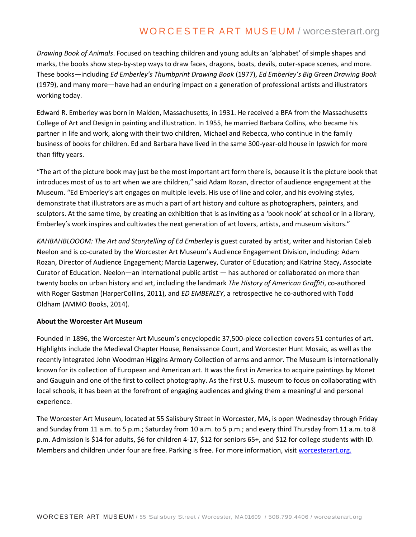# WORCESTER ART MUSEUM / worcesterart.org

*Drawing Book of Animals*. Focused on teaching children and young adults an 'alphabet' of simple shapes and marks, the books show step-by-step ways to draw faces, dragons, boats, devils, outer-space scenes, and more. These books—including *Ed Emberley's Thumbprint Drawing Book* (1977), *Ed Emberley's Big Green Drawing Book* (1979), and many more—have had an enduring impact on a generation of professional artists and illustrators working today.

Edward R. Emberley was born in Malden, Massachusetts, in 1931. He received a BFA from the Massachusetts College of Art and Design in painting and illustration. In 1955, he married Barbara Collins, who became his partner in life and work, along with their two children, Michael and Rebecca, who continue in the family business of books for children. Ed and Barbara have lived in the same 300-year-old house in Ipswich for more than fifty years.

"The art of the picture book may just be the most important art form there is, because it is the picture book that introduces most of us to art when we are children," said Adam Rozan, director of audience engagement at the Museum. "Ed Emberley's art engages on multiple levels. His use of line and color, and his evolving styles, demonstrate that illustrators are as much a part of art history and culture as photographers, painters, and sculptors. At the same time, by creating an exhibition that is as inviting as a 'book nook' at school or in a library, Emberley's work inspires and cultivates the next generation of art lovers, artists, and museum visitors."

*KAHBAHBLOOOM: The Art and Storytelling of Ed Emberley* is guest curated by artist, writer and historian Caleb Neelon and is co-curated by the Worcester Art Museum's Audience Engagement Division, including: Adam Rozan, Director of Audience Engagement; Marcia Lagerwey, Curator of Education; and Katrina Stacy, Associate Curator of Education. Neelon—an international public artist — has authored or collaborated on more than twenty books on urban history and art, including the landmark *The History of American Graffiti*, co-authored with Roger Gastman (HarperCollins, 2011), and *ED EMBERLEY*, a retrospective he co-authored with Todd Oldham (AMMO Books, 2014).

#### **About the Worcester Art Museum**

Founded in 1896, the Worcester Art Museum's encyclopedic 37,500-piece collection covers 51 centuries of art. Highlights include the Medieval Chapter House, Renaissance Court, and Worcester Hunt Mosaic, as well as the recently integrated John Woodman Higgins Armory Collection of arms and armor. The Museum is internationally known for its collection of European and American art. It was the first in America to acquire paintings by Monet and Gauguin and one of the first to collect photography. As the first U.S. museum to focus on collaborating with local schools, it has been at the forefront of engaging audiences and giving them a meaningful and personal experience.

The Worcester Art Museum, located at 55 Salisbury Street in Worcester, MA, is open Wednesday through Friday and Sunday from 11 a.m. to 5 p.m.; Saturday from 10 a.m. to 5 p.m.; and every third Thursday from 11 a.m. to 8 p.m. Admission is \$14 for adults, \$6 for children 4-17, \$12 for seniors 65+, and \$12 for college students with ID. Members and children under four are free. Parking is free. For more information, visit [worcesterart.org.](http://www.worcesterart.org/)